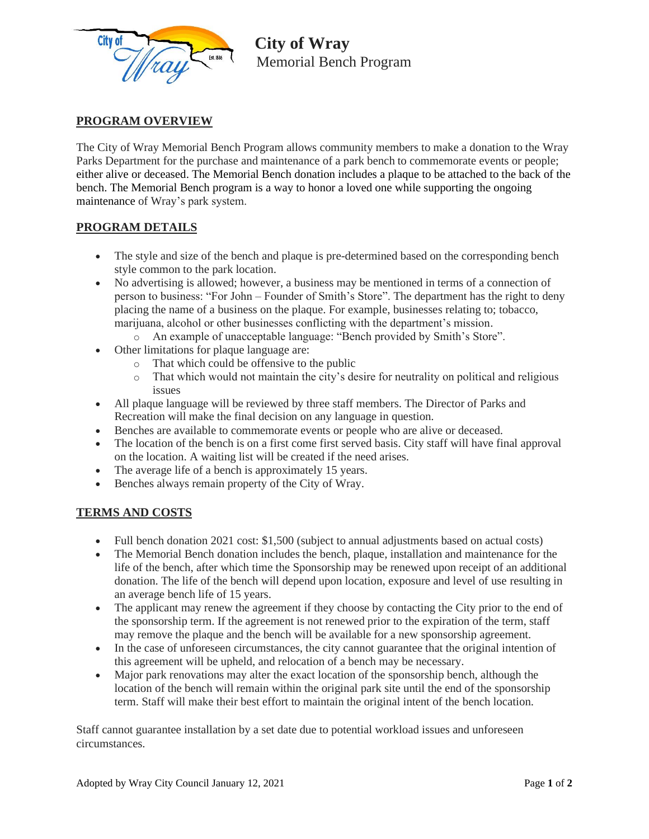

 **City of Wray** Memorial Bench Program

#### **PROGRAM OVERVIEW**

The City of Wray Memorial Bench Program allows community members to make a donation to the Wray Parks Department for the purchase and maintenance of a park bench to commemorate events or people; either alive or deceased. The Memorial Bench donation includes a plaque to be attached to the back of the bench. The Memorial Bench program is a way to honor a loved one while supporting the ongoing maintenance of Wray's park system.

## **PROGRAM DETAILS**

- The style and size of the bench and plaque is pre-determined based on the corresponding bench style common to the park location.
- No advertising is allowed; however, a business may be mentioned in terms of a connection of person to business: "For John – Founder of Smith's Store". The department has the right to deny placing the name of a business on the plaque. For example, businesses relating to; tobacco, marijuana, alcohol or other businesses conflicting with the department's mission.
	- o An example of unacceptable language: "Bench provided by Smith's Store".
- Other limitations for plaque language are:
	- o That which could be offensive to the public
	- o That which would not maintain the city's desire for neutrality on political and religious issues
- All plaque language will be reviewed by three staff members. The Director of Parks and Recreation will make the final decision on any language in question.
- Benches are available to commemorate events or people who are alive or deceased.
- The location of the bench is on a first come first served basis. City staff will have final approval on the location. A waiting list will be created if the need arises.
- The average life of a bench is approximately 15 years.
- Benches always remain property of the City of Wray.

## **TERMS AND COSTS**

- Full bench donation 2021 cost: \$1,500 (subject to annual adjustments based on actual costs)
- The Memorial Bench donation includes the bench, plaque, installation and maintenance for the life of the bench, after which time the Sponsorship may be renewed upon receipt of an additional donation. The life of the bench will depend upon location, exposure and level of use resulting in an average bench life of 15 years.
- The applicant may renew the agreement if they choose by contacting the City prior to the end of the sponsorship term. If the agreement is not renewed prior to the expiration of the term, staff may remove the plaque and the bench will be available for a new sponsorship agreement.
- In the case of unforeseen circumstances, the city cannot guarantee that the original intention of this agreement will be upheld, and relocation of a bench may be necessary.
- Major park renovations may alter the exact location of the sponsorship bench, although the location of the bench will remain within the original park site until the end of the sponsorship term. Staff will make their best effort to maintain the original intent of the bench location.

Staff cannot guarantee installation by a set date due to potential workload issues and unforeseen circumstances.